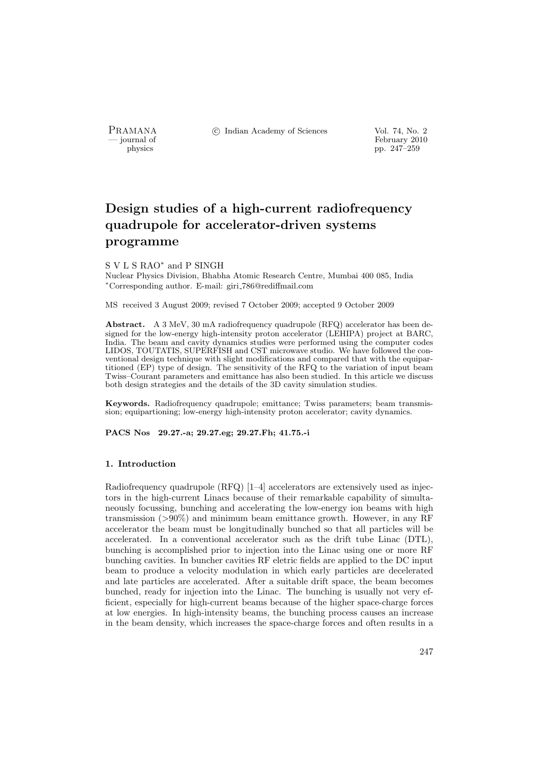PRAMANA <sup>©</sup>© Indian Academy of Sciences Vol. 74, No. 2

physics<br>
and the settlement of February 2010<br>
pp. 247–259 pp. 247–259

# Design studies of a high-current radiofrequency quadrupole for accelerator-driven systems programme

### S V L S RAO<sup>∗</sup> and P SINGH

Nuclear Physics Division, Bhabha Atomic Research Centre, Mumbai 400 085, India <sup>∗</sup>Corresponding author. E-mail: giri 786@rediffmail.com

MS received 3 August 2009; revised 7 October 2009; accepted 9 October 2009

Abstract. A 3 MeV, 30 mA radiofrequency quadrupole (RFQ) accelerator has been designed for the low-energy high-intensity proton accelerator (LEHIPA) project at BARC, India. The beam and cavity dynamics studies were performed using the computer codes LIDOS, TOUTATIS, SUPERFISH and CST microwave studio. We have followed the conventional design technique with slight modifications and compared that with the equipartitioned (EP) type of design. The sensitivity of the RFQ to the variation of input beam Twiss–Courant parameters and emittance has also been studied. In this article we discuss both design strategies and the details of the 3D cavity simulation studies.

Keywords. Radiofrequency quadrupole; emittance; Twiss parameters; beam transmission; equipartioning; low-energy high-intensity proton accelerator; cavity dynamics.

PACS Nos 29.27.-a; 29.27.eg; 29.27.Fh; 41.75.-i

#### 1. Introduction

Radiofrequency quadrupole (RFQ) [1–4] accelerators are extensively used as injectors in the high-current Linacs because of their remarkable capability of simultaneously focussing, bunching and accelerating the low-energy ion beams with high transmission (>90%) and minimum beam emittance growth. However, in any RF accelerator the beam must be longitudinally bunched so that all particles will be accelerated. In a conventional accelerator such as the drift tube Linac (DTL), bunching is accomplished prior to injection into the Linac using one or more RF bunching cavities. In buncher cavities RF eletric fields are applied to the DC input beam to produce a velocity modulation in which early particles are decelerated and late particles are accelerated. After a suitable drift space, the beam becomes bunched, ready for injection into the Linac. The bunching is usually not very efficient, especially for high-current beams because of the higher space-charge forces at low energies. In high-intensity beams, the bunching process causes an increase in the beam density, which increases the space-charge forces and often results in a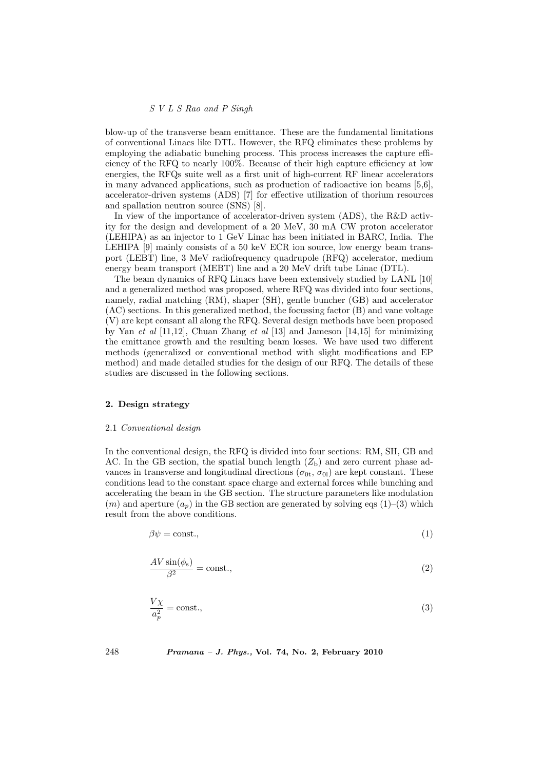blow-up of the transverse beam emittance. These are the fundamental limitations of conventional Linacs like DTL. However, the RFQ eliminates these problems by employing the adiabatic bunching process. This process increases the capture efficiency of the RFQ to nearly 100%. Because of their high capture efficiency at low energies, the RFQs suite well as a first unit of high-current RF linear accelerators in many advanced applications, such as production of radioactive ion beams [5,6], accelerator-driven systems (ADS) [7] for effective utilization of thorium resources and spallation neutron source (SNS) [8].

In view of the importance of accelerator-driven system (ADS), the R&D activity for the design and development of a 20 MeV, 30 mA CW proton accelerator (LEHIPA) as an injector to 1 GeV Linac has been initiated in BARC, India. The LEHIPA [9] mainly consists of a 50 keV ECR ion source, low energy beam transport (LEBT) line, 3 MeV radiofrequency quadrupole (RFQ) accelerator, medium energy beam transport (MEBT) line and a 20 MeV drift tube Linac (DTL).

The beam dynamics of RFQ Linacs have been extensively studied by LANL [10] and a generalized method was proposed, where RFQ was divided into four sections, namely, radial matching (RM), shaper (SH), gentle buncher (GB) and accelerator (AC) sections. In this generalized method, the focussing factor (B) and vane voltage (V) are kept consant all along the RFQ. Several design methods have been proposed by Yan et al  $[11,12]$ , Chuan Zhang et al  $[13]$  and Jameson  $[14,15]$  for minimizing the emittance growth and the resulting beam losses. We have used two different methods (generalized or conventional method with slight modifications and EP method) and made detailed studies for the design of our RFQ. The details of these studies are discussed in the following sections.

## 2. Design strategy

#### 2.1 Conventional design

In the conventional design, the RFQ is divided into four sections: RM, SH, GB and AC. In the GB section, the spatial bunch length  $(Z_b)$  and zero current phase advances in transverse and longitudinal directions ( $\sigma_{0t}$ ,  $\sigma_{0l}$ ) are kept constant. These conditions lead to the constant space charge and external forces while bunching and accelerating the beam in the GB section. The structure parameters like modulation  $(m)$  and aperture  $(a_p)$  in the GB section are generated by solving eqs  $(1)$ – $(3)$  which result from the above conditions.

$$
\beta \psi = \text{const.},\tag{1}
$$

$$
\frac{AV\sin(\phi_s)}{\beta^2} = \text{const.},\tag{2}
$$

$$
\frac{V\chi}{a_p^2} = \text{const.},\tag{3}
$$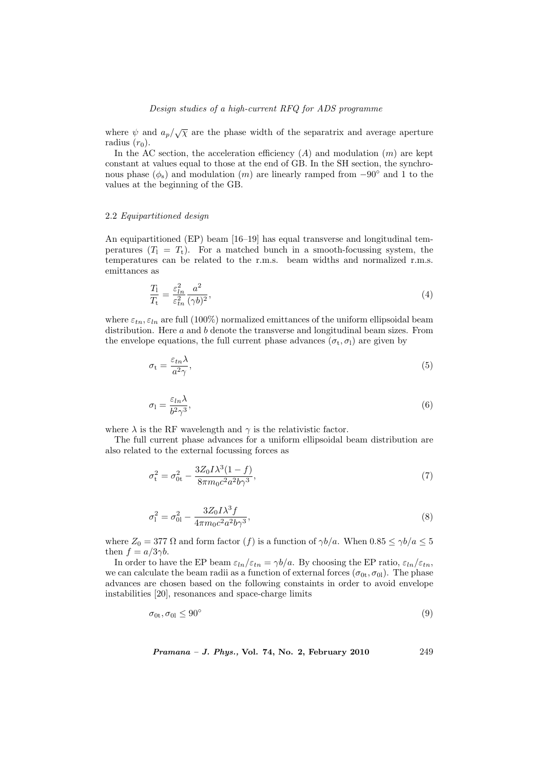## Design studies of a high-current RFQ for ADS programme

where  $\psi$  and  $a_p/\sqrt{\chi}$  are the phase width of the separatrix and average aperture radius  $(r_0)$ .

In the AC section, the acceleration efficiency  $(A)$  and modulation  $(m)$  are kept constant at values equal to those at the end of GB. In the SH section, the synchronous phase  $(\phi_s)$  and modulation  $(m)$  are linearly ramped from  $-90^\circ$  and 1 to the values at the beginning of the GB.

#### 2.2 Equipartitioned design

An equipartitioned (EP) beam [16–19] has equal transverse and longitudinal temperatures  $(T_1 = T_t)$ . For a matched bunch in a smooth-focussing system, the temperatures can be related to the r.m.s. beam widths and normalized r.m.s. emittances as

$$
\frac{T_1}{T_t} = \frac{\varepsilon_{ln}^2}{\varepsilon_{ln}^2} \frac{a^2}{(\gamma b)^2},\tag{4}
$$

where  $\varepsilon_{tn}$ ,  $\varepsilon_{ln}$  are full (100%) normalized emittances of the uniform ellipsoidal beam distribution. Here a and b denote the transverse and longitudinal beam sizes. From the envelope equations, the full current phase advances  $(\sigma_t, \sigma_l)$  are given by

$$
\sigma_{t} = \frac{\varepsilon_{tn}\lambda}{a^2\gamma},\tag{5}
$$

$$
\sigma_1 = \frac{\varepsilon_{ln} \lambda}{b^2 \gamma^3},\tag{6}
$$

where  $\lambda$  is the RF wavelength and  $\gamma$  is the relativistic factor.

The full current phase advances for a uniform ellipsoidal beam distribution are also related to the external focussing forces as

$$
\sigma_{t}^{2} = \sigma_{0t}^{2} - \frac{3Z_{0}I\lambda^{3}(1-f)}{8\pi m_{0}c^{2}a^{2}b\gamma^{3}},\tag{7}
$$

$$
\sigma_1^2 = \sigma_{01}^2 - \frac{3Z_0 I \lambda^3 f}{4\pi m_0 c^2 a^2 b \gamma^3},\tag{8}
$$

where  $Z_0 = 377 \Omega$  and form factor  $(f)$  is a function of  $\gamma b/a$ . When  $0.85 \le \gamma b/a \le 5$ then  $f = a/3\gamma b$ .

In order to have the EP beam  $\varepsilon_{ln}/\varepsilon_{tn} = \gamma b/a$ . By choosing the EP ratio,  $\varepsilon_{ln}/\varepsilon_{tn}$ , we can calculate the beam radii as a function of external forces  $(\sigma_{0t}, \sigma_{0l})$ . The phase advances are chosen based on the following constaints in order to avoid envelope instabilities [20], resonances and space-charge limits

$$
\sigma_{0t}, \sigma_{0l} \le 90^{\circ} \tag{9}
$$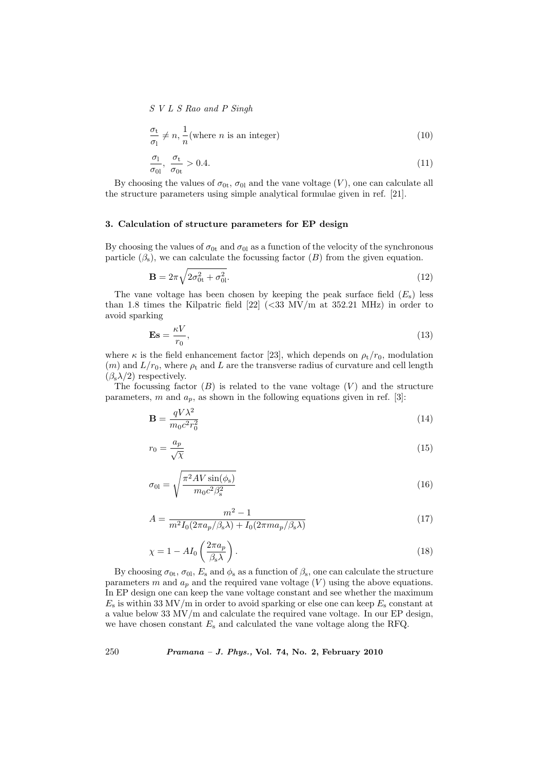$$
\frac{\sigma_{t}}{\sigma_{l}} \neq n, \frac{1}{n}(\text{where } n \text{ is an integer})
$$
\n(10)

$$
\frac{\sigma_{\rm l}}{\sigma_{\rm 0l}}, \frac{\sigma_{\rm t}}{\sigma_{\rm 0t}} > 0.4.
$$
\n
$$
\tag{11}
$$

By choosing the values of  $\sigma_{0t}$ ,  $\sigma_{0l}$  and the vane voltage  $(V)$ , one can calculate all the structure parameters using simple analytical formulae given in ref. [21].

## 3. Calculation of structure parameters for EP design

By choosing the values of  $\sigma_{0t}$  and  $\sigma_{0l}$  as a function of the velocity of the synchronous particle  $(\beta_s)$ , we can calculate the focussing factor  $(B)$  from the given equation.

$$
\mathbf{B} = 2\pi \sqrt{2\sigma_{0t}^2 + \sigma_{0l}^2}.
$$
 (12)

The vane voltage has been chosen by keeping the peak surface field  $(E<sub>s</sub>)$  less than 1.8 times the Kilpatric field  $[22]$  (<33 MV/m at 352.21 MHz) in order to avoid sparking

$$
\mathbf{Es} = \frac{\kappa V}{r_0},\tag{13}
$$

where  $\kappa$  is the field enhancement factor [23], which depends on  $\rho_t/r_0$ , modulation  $(m)$  and  $L/r_0$ , where  $\rho_t$  and L are the transverse radius of curvature and cell length  $(\beta_s \lambda/2)$  respectively.

The focussing factor  $(B)$  is related to the vane voltage  $(V)$  and the structure parameters, m and  $a_n$ , as shown in the following equations given in ref. [3]:

$$
\mathbf{B} = \frac{qV\lambda^2}{m_0 c^2 r_0^2} \tag{14}
$$

$$
r_0 = \frac{a_p}{\sqrt{\chi}}\tag{15}
$$

$$
\sigma_{0l} = \sqrt{\frac{\pi^2 A V \sin(\phi_s)}{m_0 c^2 \beta_s^2}}
$$
\n(16)

$$
A = \frac{m^2 - 1}{m^2 I_0 (2\pi a_p / \beta_s \lambda) + I_0 (2\pi m a_p / \beta_s \lambda)}
$$
(17)

$$
\chi = 1 - A I_0 \left( \frac{2 \pi a_p}{\beta_s \lambda} \right). \tag{18}
$$

By choosing  $\sigma_{0t}$ ,  $\sigma_{0l}$ ,  $E_s$  and  $\phi_s$  as a function of  $\beta_s$ , one can calculate the structure parameters m and  $a_p$  and the required vane voltage  $(V)$  using the above equations. In EP design one can keep the vane voltage constant and see whether the maximum  $E<sub>s</sub>$  is within 33 MV/m in order to avoid sparking or else one can keep  $E<sub>s</sub>$  constant at a value below 33 MV/m and calculate the required vane voltage. In our EP design, we have chosen constant  $E_s$  and calculated the vane voltage along the RFQ.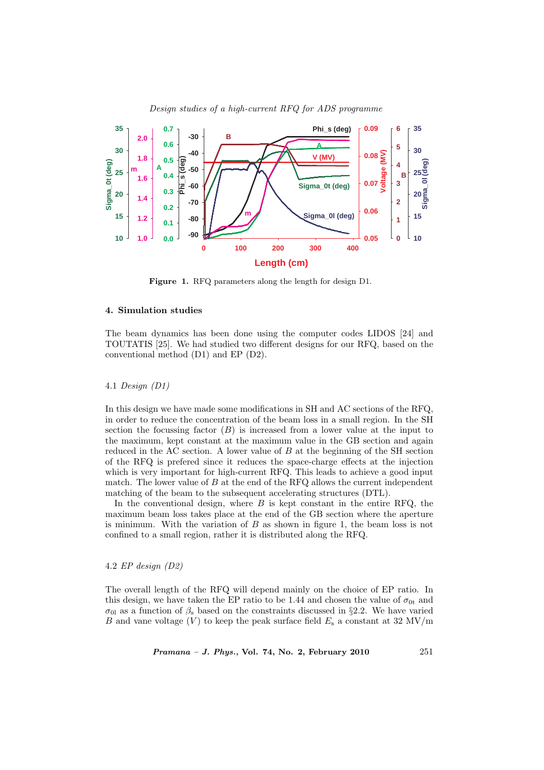

Design studies of a high-current RFQ for ADS programme

Figure 1. RFQ parameters along the length for design D1.

## 4. Simulation studies

The beam dynamics has been done using the computer codes LIDOS [24] and TOUTATIS [25]. We had studied two different designs for our RFQ, based on the conventional method (D1) and EP (D2).

## 4.1 Design (D1)

In this design we have made some modifications in SH and AC sections of the RFQ, in order to reduce the concentration of the beam loss in a small region. In the SH section the focussing factor  $(B)$  is increased from a lower value at the input to the maximum, kept constant at the maximum value in the GB section and again reduced in the AC section. A lower value of  $B$  at the beginning of the SH section of the RFQ is prefered since it reduces the space-charge effects at the injection which is very important for high-current RFQ. This leads to achieve a good input match. The lower value of  $B$  at the end of the RFQ allows the current independent matching of the beam to the subsequent accelerating structures (DTL).

In the conventional design, where  $B$  is kept constant in the entire RFQ, the maximum beam loss takes place at the end of the GB section where the aperture is minimum. With the variation of  $B$  as shown in figure 1, the beam loss is not confined to a small region, rather it is distributed along the RFQ.

## 4.2 EP design (D2)

The overall length of the RFQ will depend mainly on the choice of EP ratio. In this design, we have taken the EP ratio to be 1.44 and chosen the value of  $\sigma_{0t}$  and σ<sub>0l</sub> as a function of  $\beta_s$  based on the constraints discussed in §2.2. We have varied B and vane voltage  $(V)$  to keep the peak surface field  $E_s$  a constant at 32 MV/m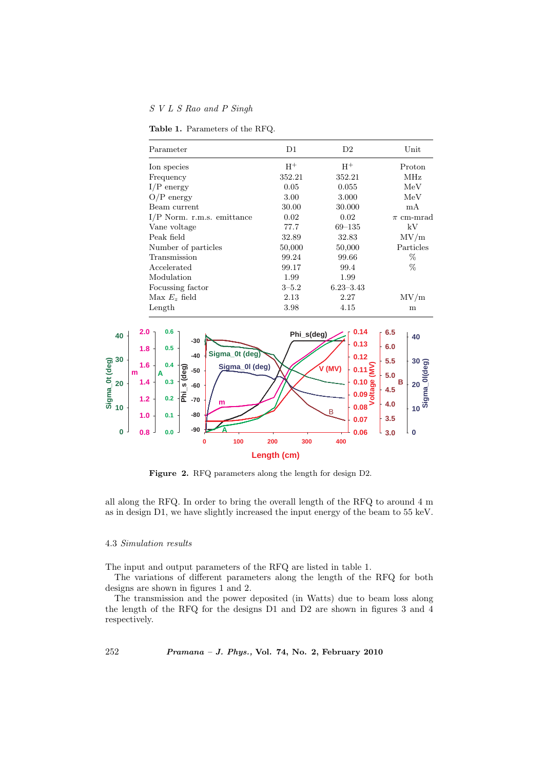Table 1. Parameters of the RFQ.

| D1        | D <sub>2</sub> | Unit          |
|-----------|----------------|---------------|
| $H^+$     | $H^+$          | Proton        |
| 352.21    | 352.21         | <b>MHz</b>    |
| 0.05      | 0.055          | MeV           |
| 3.00      | 3.000          | MeV           |
| 30.00     | 30.000         | mA            |
| 0.02      | 0.02           | $\pi$ cm-mrad |
| 77.7      | $69 - 135$     | kV            |
| 32.89     | 32.83          | MV/m          |
| 50,000    | 50,000         | Particles     |
| 99.24     | 99.66          | $\%$          |
| 99.17     | 99.4           | %             |
| 1.99      | 1.99           |               |
| $3 - 5.2$ | $6.23 - 3.43$  |               |
| 2.13      | 2.27           | MV/m          |
| 3.98      | 4.15           | m             |
|           |                |               |



Figure 2. RFQ parameters along the length for design D2.

all along the RFQ. In order to bring the overall length of the RFQ to around 4 m as in design D1, we have slightly increased the input energy of the beam to 55 keV.

#### 4.3 Simulation results

The input and output parameters of the RFQ are listed in table 1.

The variations of different parameters along the length of the RFQ for both designs are shown in figures 1 and 2.

The transmission and the power deposited (in Watts) due to beam loss along the length of the RFQ for the designs D1 and D2 are shown in figures 3 and 4 respectively.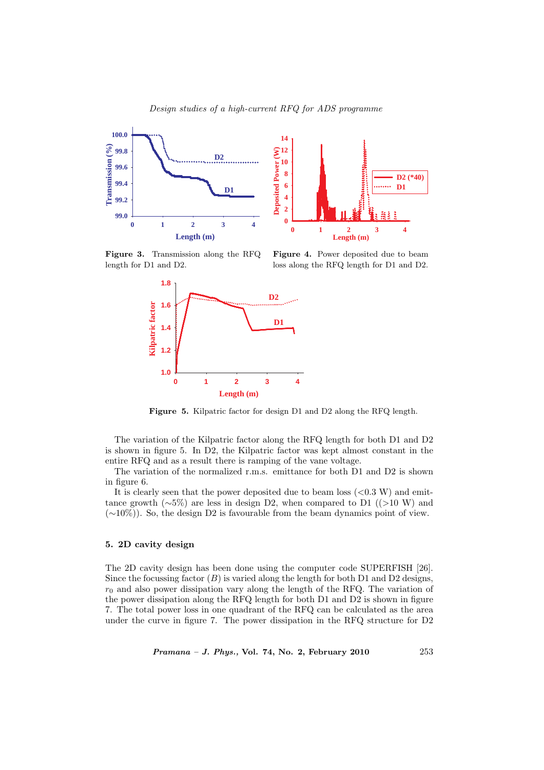



Figure 3. Transmission along the RFQ length for D1 and D2.

Figure 4. Power deposited due to beam loss along the RFQ length for D1 and D2.



Figure 5. Kilpatric factor for design D1 and D2 along the RFQ length.

The variation of the Kilpatric factor along the RFQ length for both D1 and D2 is shown in figure 5. In D2, the Kilpatric factor was kept almost constant in the entire RFQ and as a result there is ramping of the vane voltage.

The variation of the normalized r.m.s. emittance for both D1 and D2 is shown in figure 6.

It is clearly seen that the power deposited due to beam loss  $(<0.3 W$ ) and emittance growth ( $\sim 5\%$ ) are less in design D2, when compared to D1 ((>10 W) and  $(\sim 10\%)$ ). So, the design D2 is favourable from the beam dynamics point of view.

## 5. 2D cavity design

The 2D cavity design has been done using the computer code SUPERFISH [26]. Since the focussing factor  $(B)$  is varied along the length for both D1 and D2 designs,  $r_0$  and also power dissipation vary along the length of the RFQ. The variation of the power dissipation along the RFQ length for both D1 and D2 is shown in figure 7. The total power loss in one quadrant of the RFQ can be calculated as the area under the curve in figure 7. The power dissipation in the RFQ structure for D2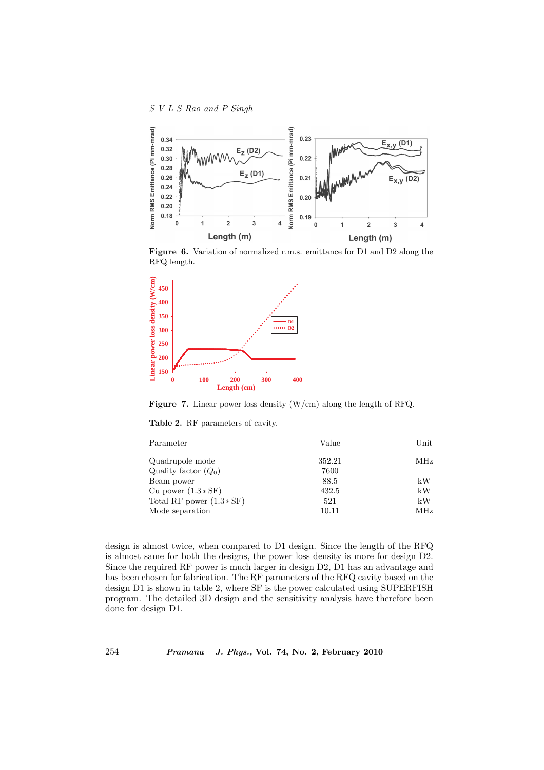S V L S Rao and P Singh



Figure 6. Variation of normalized r.m.s. emittance for D1 and D2 along the RFQ length.



Figure 7. Linear power loss density (W/cm) along the length of RFQ.

Table 2. RF parameters of cavity.

| Parameter                   | Value  | $\operatorname{Unit}$ |
|-----------------------------|--------|-----------------------|
| Quadrupole mode             | 352.21 | <b>MHz</b>            |
| Quality factor $(Q_0)$      | 7600   |                       |
| Beam power                  | 88.5   | kW                    |
| Cu power $(1.3 * SF)$       | 432.5  | kW                    |
| Total RF power $(1.3 * SF)$ | 521    | kW                    |
| Mode separation             | 10.11  | <b>MHz</b>            |

design is almost twice, when compared to D1 design. Since the length of the RFQ is almost same for both the designs, the power loss density is more for design D2. Since the required RF power is much larger in design D2, D1 has an advantage and has been chosen for fabrication. The RF parameters of the RFQ cavity based on the design D1 is shown in table 2, where SF is the power calculated using SUPERFISH program. The detailed 3D design and the sensitivity analysis have therefore been done for design D1.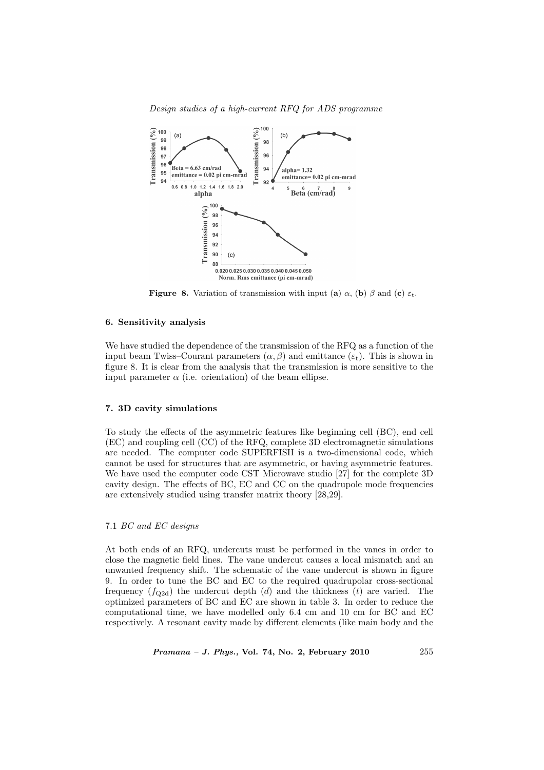Design studies of a high-current RFQ for ADS programme



**Figure 8.** Variation of transmission with input (a)  $\alpha$ , (b)  $\beta$  and (c)  $\varepsilon_t$ .

#### 6. Sensitivity analysis

We have studied the dependence of the transmission of the RFQ as a function of the input beam Twiss–Courant parameters  $(\alpha, \beta)$  and emittance  $(\varepsilon_t)$ . This is shown in figure 8. It is clear from the analysis that the transmission is more sensitive to the input parameter  $\alpha$  (i.e. orientation) of the beam ellipse.

## 7. 3D cavity simulations

To study the effects of the asymmetric features like beginning cell (BC), end cell (EC) and coupling cell (CC) of the RFQ, complete 3D electromagnetic simulations are needed. The computer code SUPERFISH is a two-dimensional code, which cannot be used for structures that are asymmetric, or having asymmetric features. We have used the computer code CST Microwave studio [27] for the complete 3D cavity design. The effects of BC, EC and CC on the quadrupole mode frequencies are extensively studied using transfer matrix theory [28,29].

## 7.1 BC and EC designs

At both ends of an RFQ, undercuts must be performed in the vanes in order to close the magnetic field lines. The vane undercut causes a local mismatch and an unwanted frequency shift. The schematic of the vane undercut is shown in figure 9. In order to tune the BC and EC to the required quadrupolar cross-sectional frequency  $(f_{Q2d})$  the undercut depth  $(d)$  and the thickness  $(t)$  are varied. The optimized parameters of BC and EC are shown in table 3. In order to reduce the computational time, we have modelled only 6.4 cm and 10 cm for BC and EC respectively. A resonant cavity made by different elements (like main body and the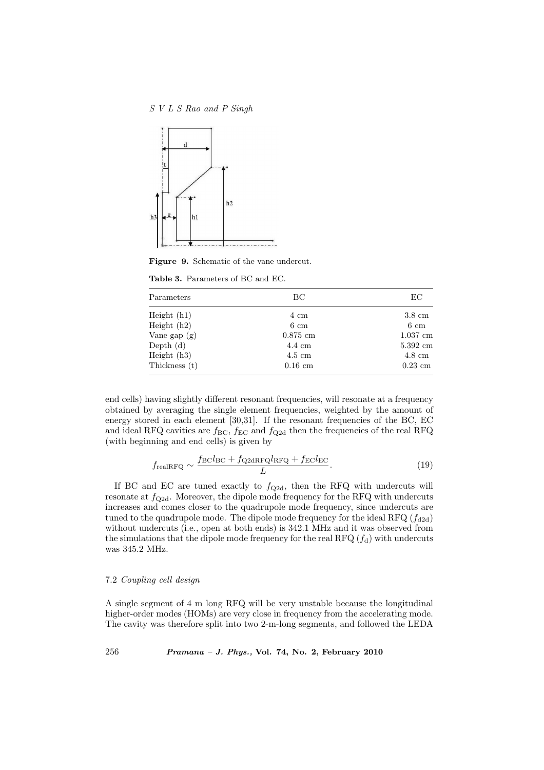S V L S Rao and P Singh



Figure 9. Schematic of the vane undercut.

|  | <b>Table 3.</b> Parameters of BC and EC. |  |  |
|--|------------------------------------------|--|--|
|--|------------------------------------------|--|--|

| Parameters     | BС                | EС               |
|----------------|-------------------|------------------|
| Height $(h1)$  | 4 cm              | $3.8 \text{ cm}$ |
| Height $(h2)$  | $6 \text{ cm}$    | $6 \text{ cm}$   |
| Vane gap $(g)$ | $0.875$ cm        | $1.037$ cm       |
| Depth $(d)$    | $4.4 \text{ cm}$  | $5.392$ cm       |
| Height $(h3)$  | $4.5 \text{ cm}$  | $4.8 \text{ cm}$ |
| Thickness (t)  | $0.16 \text{ cm}$ | $0.23$ cm        |

end cells) having slightly different resonant frequencies, will resonate at a frequency obtained by averaging the single element frequencies, weighted by the amount of energy stored in each element [30,31]. If the resonant frequencies of the BC, EC and ideal RFQ cavities are  $f_{BC}$ ,  $f_{EC}$  and  $f_{Q2d}$  then the frequencies of the real RFQ (with beginning and end cells) is given by

$$
f_{\text{realRFQ}} \sim \frac{f_{\text{BC}} l_{\text{BC}} + f_{\text{Q2}} l_{\text{RFQ}} l_{\text{RFQ}} + f_{\text{EC}} l_{\text{EC}}}{L}.
$$
 (19)

If BC and EC are tuned exactly to  $f_{\rm Q2d}$ , then the RFQ with undercuts will resonate at  $f_{\rm O2d}$ . Moreover, the dipole mode frequency for the RFQ with undercuts increases and comes closer to the quadrupole mode frequency, since undercuts are tuned to the quadrupole mode. The dipole mode frequency for the ideal RFQ ( $f_{d2d}$ ) without undercuts (i.e., open at both ends) is 342.1 MHz and it was observed from the simulations that the dipole mode frequency for the real RFQ  $(f_d)$  with undercuts was 345.2 MHz.

## 7.2 Coupling cell design

A single segment of 4 m long RFQ will be very unstable because the longitudinal higher-order modes (HOMs) are very close in frequency from the accelerating mode. The cavity was therefore split into two 2-m-long segments, and followed the LEDA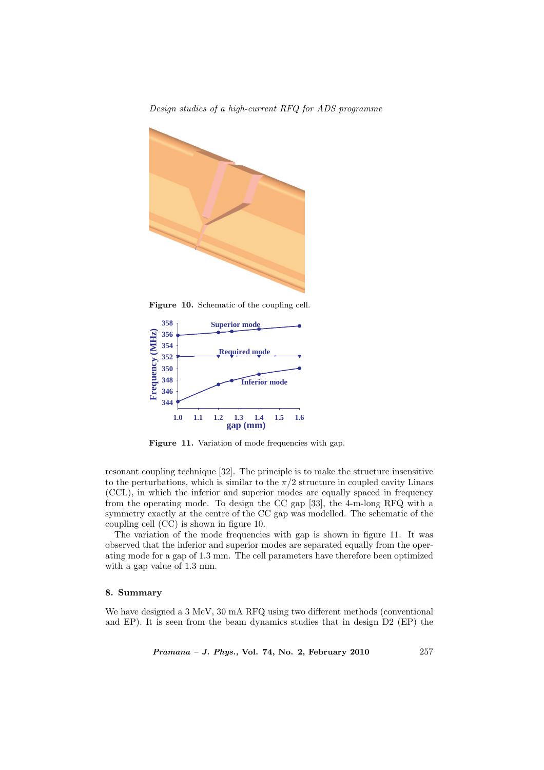

Design studies of a high-current RFQ for ADS programme

Figure 10. Schematic of the coupling cell.



Figure 11. Variation of mode frequencies with gap.

resonant coupling technique [32]. The principle is to make the structure insensitive to the perturbations, which is similar to the  $\pi/2$  structure in coupled cavity Linacs (CCL), in which the inferior and superior modes are equally spaced in frequency from the operating mode. To design the CC gap [33], the 4-m-long RFQ with a symmetry exactly at the centre of the CC gap was modelled. The schematic of the coupling cell (CC) is shown in figure 10.

The variation of the mode frequencies with gap is shown in figure 11. It was observed that the inferior and superior modes are separated equally from the operating mode for a gap of 1.3 mm. The cell parameters have therefore been optimized with a gap value of 1.3 mm.

### 8. Summary

We have designed a 3 MeV, 30 mA RFQ using two different methods (conventional and EP). It is seen from the beam dynamics studies that in design D2 (EP) the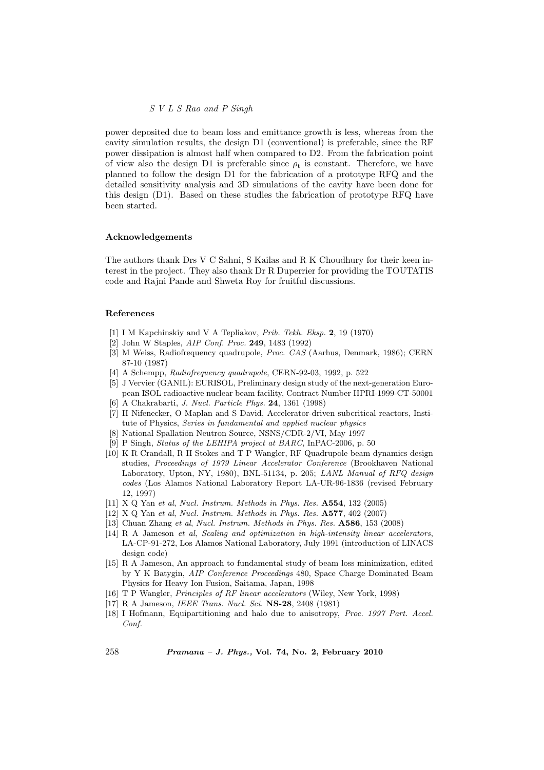power deposited due to beam loss and emittance growth is less, whereas from the cavity simulation results, the design D1 (conventional) is preferable, since the RF power dissipation is almost half when compared to D2. From the fabrication point of view also the design D1 is preferable since  $\rho_t$  is constant. Therefore, we have planned to follow the design D1 for the fabrication of a prototype RFQ and the detailed sensitivity analysis and 3D simulations of the cavity have been done for this design (D1). Based on these studies the fabrication of prototype RFQ have been started.

#### Acknowledgements

The authors thank Drs V C Sahni, S Kailas and R K Choudhury for their keen interest in the project. They also thank Dr R Duperrier for providing the TOUTATIS code and Rajni Pande and Shweta Roy for fruitful discussions.

#### References

- [1] I M Kapchinskiy and V A Tepliakov, Prib. Tekh. Eksp. 2, 19 (1970)
- [2] John W Staples, AIP Conf. Proc. 249, 1483 (1992)
- [3] M Weiss, Radiofrequency quadrupole, Proc. CAS (Aarhus, Denmark, 1986); CERN 87-10 (1987)
- [4] A Schempp, Radiofrequency quadrupole, CERN-92-03, 1992, p. 522
- [5] J Vervier (GANIL): EURISOL, Preliminary design study of the next-generation European ISOL radioactive nuclear beam facility, Contract Number HPRI-1999-CT-50001
- [6] A Chakrabarti, J. Nucl. Particle Phys. 24, 1361 (1998)
- [7] H Nifenecker, O Maplan and S David, Accelerator-driven subcritical reactors, Institute of Physics, Series in fundamental and applied nuclear physics
- [8] National Spallation Neutron Source, NSNS/CDR-2/VI, May 1997
- [9] P Singh, Status of the LEHIPA project at BARC, InPAC-2006, p. 50
- [10] K R Crandall, R H Stokes and T P Wangler, RF Quadrupole beam dynamics design studies, Proceedings of 1979 Linear Accelerator Conference (Brookhaven National Laboratory, Upton, NY, 1980), BNL-51134, p. 205; LANL Manual of RFQ design codes (Los Alamos National Laboratory Report LA-UR-96-1836 (revised February 12, 1997)
- [11] X Q Yan et al, Nucl. Instrum. Methods in Phys. Res. **A554**, 132 (2005)
- [12] X Q Yan et al, Nucl. Instrum. Methods in Phys. Res. A577, 402 (2007)
- [13] Chuan Zhang et al, Nucl. Instrum. Methods in Phys. Res. A586, 153 (2008)
- [14] R A Jameson et al, Scaling and optimization in high-intensity linear accelerators, LA-CP-91-272, Los Alamos National Laboratory, July 1991 (introduction of LINACS design code)
- [15] R A Jameson, An approach to fundamental study of beam loss minimization, edited by Y K Batygin, AIP Conference Proceedings 480, Space Charge Dominated Beam Physics for Heavy Ion Fusion, Saitama, Japan, 1998
- [16] T P Wangler, Principles of RF linear accelerators (Wiley, New York, 1998)
- [17] R A Jameson, IEEE Trans. Nucl. Sci. NS-28, 2408 (1981)
- [18] I Hofmann, Equipartitioning and halo due to anisotropy, Proc. 1997 Part. Accel. Conf.